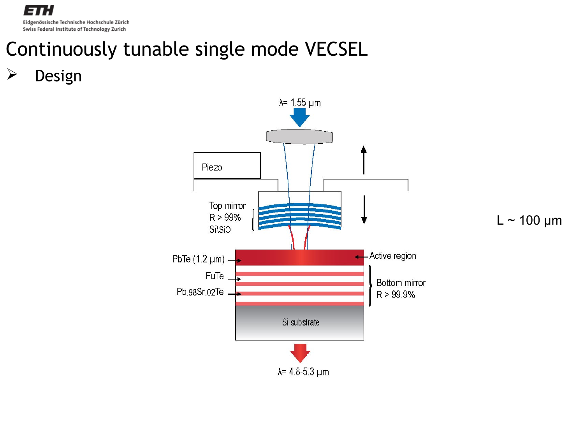Ξ Eidgenössische Technische Hochschule Zürich Swiss Federal Institute of Technology Zurich

## Continuously tunable single mode VECSEL

 $\triangleright$  Design

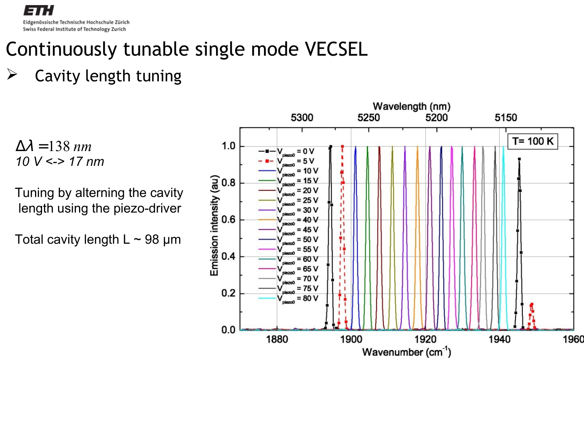Eidgenössische Technische Hochschule Zürich Swiss Federal Institute of Technology Zurich

## Continuously tunable single mode VECSEL

#### $\triangleright$  Cavity length tuning

 $\Delta \lambda = 138$  *nm 10 V <-> 17 nm*

Tuning by alterning the cavity length using the piezo-driver

Total cavity length  $L \sim 98 \mu m$ 

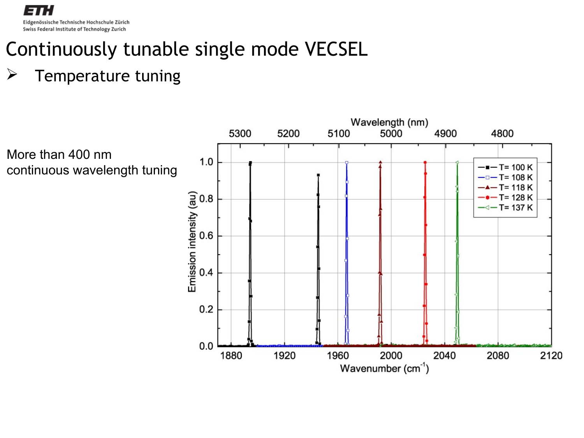

## Continuously tunable single mode VECSEL

#### $\triangleright$  Temperature tuning

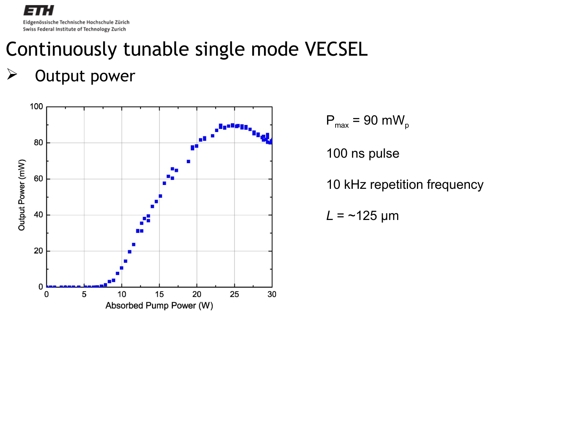Eidgenössische Technische Hochschule Zürich Swiss Federal Institute of Technology Zurich

### Continuously tunable single mode VECSEL

#### $\triangleright$  Output power



 $P_{max}$  = 90 mW<sub>p</sub>

100 ns pulse

10 kHz repetition frequency

 $L = -125 \mu m$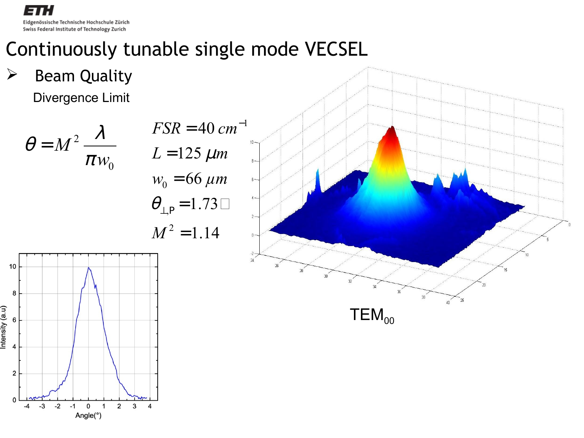Eidgenössische Technische Hochschule Zürich Swiss Federal Institute of Technology Zurich

### Continuously tunable single mode VECSEL

Divergence Limit  $\triangleright$  Beam Quality

θ